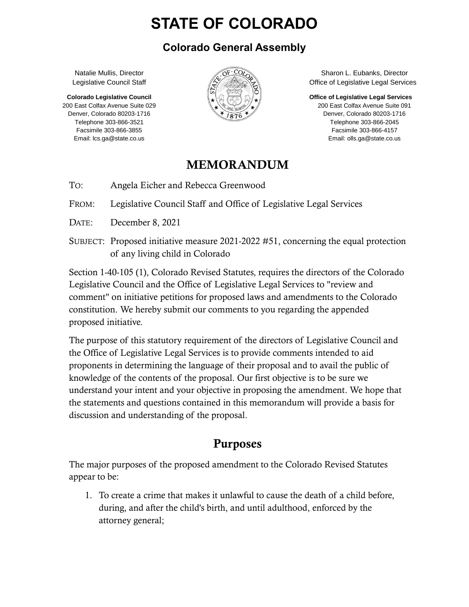# **STATE OF COLORADO**

#### **Colorado General Assembly**

Natalie Mullis, Director Legislative Council Staff

**Colorado Legislative Council** 200 East Colfax Avenue Suite 029 Denver, Colorado 80203-1716 Telephone 303-866-3521 Facsimile 303-866-3855 Email: lcs.ga@state.co.us



Sharon L. Eubanks, Director Office of Legislative Legal Services

**Office of Legislative Legal Services**

200 East Colfax Avenue Suite 091 Denver, Colorado 80203-1716 Telephone 303-866-2045 Facsimile 303-866-4157 Email: olls.ga@state.co.us

#### MEMORANDUM

TO: Angela Eicher and Rebecca Greenwood

FROM: Legislative Council Staff and Office of Legislative Legal Services

- DATE: December 8, 2021
- SUBJECT: Proposed initiative measure 2021-2022 #51, concerning the equal protection of any living child in Colorado

Section 1-40-105 (1), Colorado Revised Statutes, requires the directors of the Colorado Legislative Council and the Office of Legislative Legal Services to "review and comment" on initiative petitions for proposed laws and amendments to the Colorado constitution. We hereby submit our comments to you regarding the appended proposed initiative.

The purpose of this statutory requirement of the directors of Legislative Council and the Office of Legislative Legal Services is to provide comments intended to aid proponents in determining the language of their proposal and to avail the public of knowledge of the contents of the proposal. Our first objective is to be sure we understand your intent and your objective in proposing the amendment. We hope that the statements and questions contained in this memorandum will provide a basis for discussion and understanding of the proposal.

## Purposes

The major purposes of the proposed amendment to the Colorado Revised Statutes appear to be:

1. To create a crime that makes it unlawful to cause the death of a child before, during, and after the child's birth, and until adulthood, enforced by the attorney general;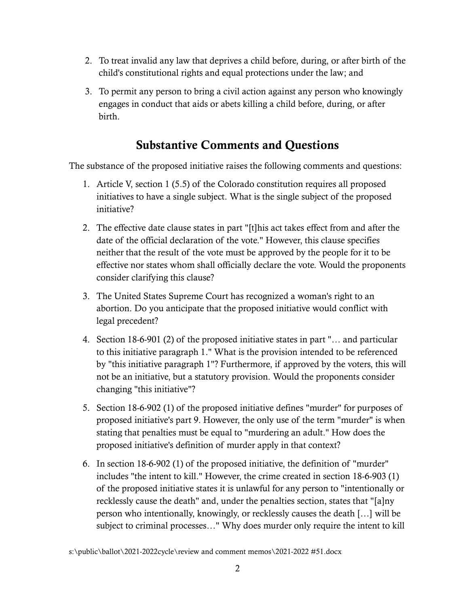- 2. To treat invalid any law that deprives a child before, during, or after birth of the child's constitutional rights and equal protections under the law; and
- 3. To permit any person to bring a civil action against any person who knowingly engages in conduct that aids or abets killing a child before, during, or after birth.

## Substantive Comments and Questions

The substance of the proposed initiative raises the following comments and questions:

- 1. Article V, section 1 (5.5) of the Colorado constitution requires all proposed initiatives to have a single subject. What is the single subject of the proposed initiative?
- 2. The effective date clause states in part "[t]his act takes effect from and after the date of the official declaration of the vote." However, this clause specifies neither that the result of the vote must be approved by the people for it to be effective nor states whom shall officially declare the vote. Would the proponents consider clarifying this clause?
- 3. The United States Supreme Court has recognized a woman's right to an abortion. Do you anticipate that the proposed initiative would conflict with legal precedent?
- 4. Section 18-6-901 (2) of the proposed initiative states in part "… and particular to this initiative paragraph 1." What is the provision intended to be referenced by "this initiative paragraph 1"? Furthermore, if approved by the voters, this will not be an initiative, but a statutory provision. Would the proponents consider changing "this initiative"?
- 5. Section 18-6-902 (1) of the proposed initiative defines "murder" for purposes of proposed initiative's part 9. However, the only use of the term "murder" is when stating that penalties must be equal to "murdering an adult." How does the proposed initiative's definition of murder apply in that context?
- 6. In section 18-6-902 (1) of the proposed initiative, the definition of "murder" includes "the intent to kill." However, the crime created in section 18-6-903 (1) of the proposed initiative states it is unlawful for any person to "intentionally or recklessly cause the death" and, under the penalties section, states that "[a]ny person who intentionally, knowingly, or recklessly causes the death […] will be subject to criminal processes…" Why does murder only require the intent to kill

s:\public\ballot\2021-2022cycle\review and comment memos\2021-2022 #51.docx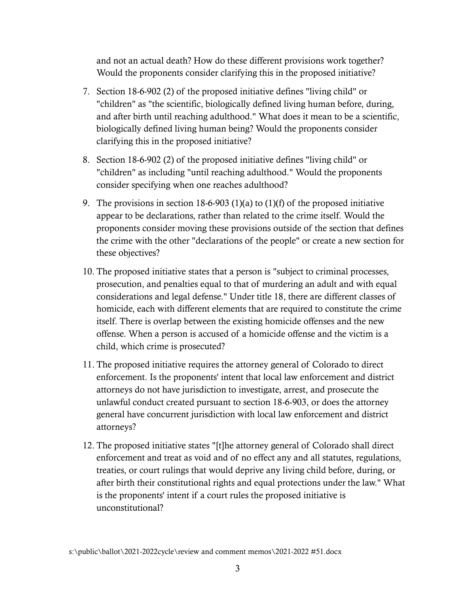and not an actual death? How do these different provisions work together? Would the proponents consider clarifying this in the proposed initiative?

- 7. Section 18-6-902 (2) of the proposed initiative defines "living child" or "children" as "the scientific, biologically defined living human before, during, and after birth until reaching adulthood." What does it mean to be a scientific, biologically defined living human being? Would the proponents consider clarifying this in the proposed initiative?
- 8. Section 18-6-902 (2) of the proposed initiative defines "living child" or "children" as including "until reaching adulthood." Would the proponents consider specifying when one reaches adulthood?
- 9. The provisions in section 18-6-903 (1)(a) to (1)(f) of the proposed initiative appear to be declarations, rather than related to the crime itself. Would the proponents consider moving these provisions outside of the section that defines the crime with the other "declarations of the people" or create a new section for these objectives?
- 10. The proposed initiative states that a person is "subject to criminal processes, prosecution, and penalties equal to that of murdering an adult and with equal considerations and legal defense." Under title 18, there are different classes of homicide, each with different elements that are required to constitute the crime itself. There is overlap between the existing homicide offenses and the new offense. When a person is accused of a homicide offense and the victim is a child, which crime is prosecuted?
- 11. The proposed initiative requires the attorney general of Colorado to direct enforcement. Is the proponents' intent that local law enforcement and district attorneys do not have jurisdiction to investigate, arrest, and prosecute the unlawful conduct created pursuant to section 18-6-903, or does the attorney general have concurrent jurisdiction with local law enforcement and district attorneys?
- 12. The proposed initiative states "[t]he attorney general of Colorado shall direct enforcement and treat as void and of no effect any and all statutes, regulations, treaties, or court rulings that would deprive any living child before, during, or after birth their constitutional rights and equal protections under the law." What is the proponents' intent if a court rules the proposed initiative is unconstitutional?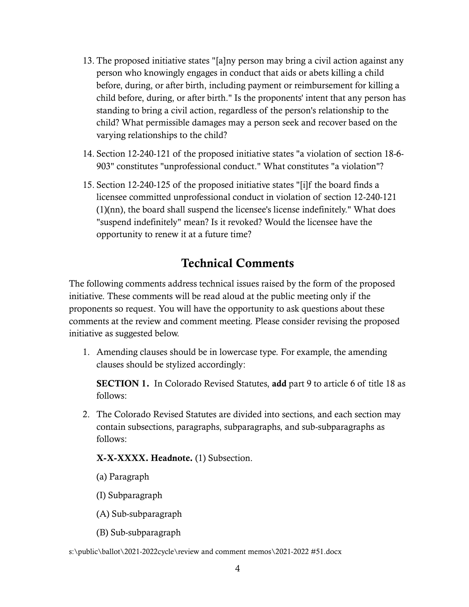- 13. The proposed initiative states "[a]ny person may bring a civil action against any person who knowingly engages in conduct that aids or abets killing a child before, during, or after birth, including payment or reimbursement for killing a child before, during, or after birth." Is the proponents' intent that any person has standing to bring a civil action, regardless of the person's relationship to the child? What permissible damages may a person seek and recover based on the varying relationships to the child?
- 14. Section 12-240-121 of the proposed initiative states "a violation of section 18-6- 903" constitutes "unprofessional conduct." What constitutes "a violation"?
- 15. Section 12-240-125 of the proposed initiative states "[i]f the board finds a licensee committed unprofessional conduct in violation of section 12-240-121 (1)(nn), the board shall suspend the licensee's license indefinitely." What does "suspend indefinitely" mean? Is it revoked? Would the licensee have the opportunity to renew it at a future time?

## Technical Comments

The following comments address technical issues raised by the form of the proposed initiative. These comments will be read aloud at the public meeting only if the proponents so request. You will have the opportunity to ask questions about these comments at the review and comment meeting. Please consider revising the proposed initiative as suggested below.

1. Amending clauses should be in lowercase type. For example, the amending clauses should be stylized accordingly:

SECTION 1. In Colorado Revised Statutes, add part 9 to article 6 of title 18 as follows:

2. The Colorado Revised Statutes are divided into sections, and each section may contain subsections, paragraphs, subparagraphs, and sub-subparagraphs as follows:

#### X-X-XXXX. Headnote. (1) Subsection.

- (a) Paragraph
- (I) Subparagraph
- (A) Sub-subparagraph
- (B) Sub-subparagraph

s:\public\ballot\2021-2022cycle\review and comment memos\2021-2022 #51.docx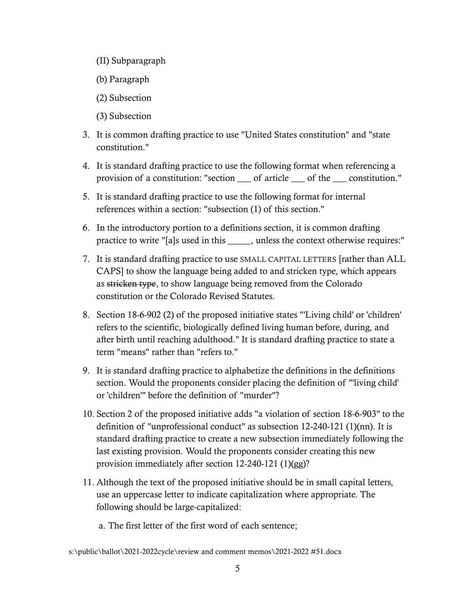- (II) Subparagraph
- (b) Paragraph
- (2) Subsection
- (3) Subsection
- 3. It is common drafting practice to use "United States constitution" and "state constitution."
- 4. It is standard drafting practice to use the following format when referencing a provision of a constitution: "section \_\_\_ of article \_\_\_ of the \_\_\_ constitution."
- 5. It is standard drafting practice to use the following format for internal references within a section: "subsection (1) of this section."
- 6. In the introductory portion to a definitions section, it is common drafting practice to write "[a]s used in this \_\_\_\_\_, unless the context otherwise requires:"
- 7. It is standard drafting practice to use SMALL CAPITAL LETTERS [rather than ALL CAPS] to show the language being added to and stricken type, which appears as stricken type, to show language being removed from the Colorado constitution or the Colorado Revised Statutes.
- 8. Section 18-6-902 (2) of the proposed initiative states "'Living child' or 'children' refers to the scientific, biologically defined living human before, during, and after birth until reaching adulthood." It is standard drafting practice to state a term "means" rather than "refers to."
- 9. It is standard drafting practice to alphabetize the definitions in the definitions section. Would the proponents consider placing the definition of "'living child' or 'children'" before the definition of "murder"?
- 10. Section 2 of the proposed initiative adds "a violation of section 18-6-903" to the definition of "unprofessional conduct" as subsection 12-240-121 (1)(nn). It is standard drafting practice to create a new subsection immediately following the last existing provision. Would the proponents consider creating this new provision immediately after section 12-240-121 (1)(gg)?
- 11. Although the text of the proposed initiative should be in small capital letters, use an uppercase letter to indicate capitalization where appropriate. The following should be large-capitalized:
	- a. The first letter of the first word of each sentence;

s:\public\ballot\2021-2022cycle\review and comment memos\2021-2022 #51.docx